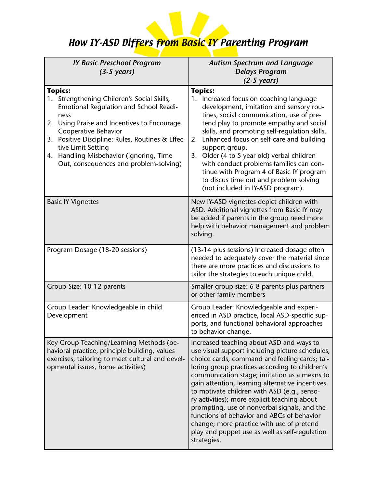

## How IY-ASD Differs from Basic IY Parenting Program

| <b>IY Basic Preschool Program</b><br>$(3-5 \text{ years})$                                                                                                                                                                                                                                                                                                 | <b>Autism Spectrum and Language</b><br><b>Delays Program</b><br>$(2-5 \text{ years})$                                                                                                                                                                                                                                                                                                                                                                                                                                                                                                                        |
|------------------------------------------------------------------------------------------------------------------------------------------------------------------------------------------------------------------------------------------------------------------------------------------------------------------------------------------------------------|--------------------------------------------------------------------------------------------------------------------------------------------------------------------------------------------------------------------------------------------------------------------------------------------------------------------------------------------------------------------------------------------------------------------------------------------------------------------------------------------------------------------------------------------------------------------------------------------------------------|
| <b>Topics:</b><br>1. Strengthening Children's Social Skills,<br>Emotional Regulation and School Readi-<br>ness<br>Using Praise and Incentives to Encourage<br>2.<br>Cooperative Behavior<br>3. Positive Discipline: Rules, Routines & Effec-<br>tive Limit Setting<br>Handling Misbehavior (ignoring, Time<br>4.<br>Out, consequences and problem-solving) | <b>Topics:</b><br>1. Increased focus on coaching language<br>development, imitation and sensory rou-<br>tines, social communication, use of pre-<br>tend play to promote empathy and social<br>skills, and promoting self-regulation skills.<br>Enhanced focus on self-care and building<br>2.<br>support group.<br>Older (4 to 5 year old) verbal children<br>3.<br>with conduct problems families can con-<br>tinue with Program 4 of Basic IY program<br>to discus time out and problem solving<br>(not included in IY-ASD program).                                                                      |
| <b>Basic IY Vignettes</b>                                                                                                                                                                                                                                                                                                                                  | New IY-ASD vignettes depict children with<br>ASD. Additional vignettes from Basic IY may<br>be added if parents in the group need more<br>help with behavior management and problem<br>solving.                                                                                                                                                                                                                                                                                                                                                                                                              |
| Program Dosage (18-20 sessions)                                                                                                                                                                                                                                                                                                                            | (13-14 plus sessions) Increased dosage often<br>needed to adequately cover the material since<br>there are more practices and discussions to<br>tailor the strategies to each unique child.                                                                                                                                                                                                                                                                                                                                                                                                                  |
| Group Size: 10-12 parents                                                                                                                                                                                                                                                                                                                                  | Smaller group size: 6-8 parents plus partners<br>or other family members                                                                                                                                                                                                                                                                                                                                                                                                                                                                                                                                     |
| Group Leader: Knowledgeable in child<br>Development                                                                                                                                                                                                                                                                                                        | Group Leader: Knowledgeable and experi-<br>enced in ASD practice, local ASD-specific sup-<br>ports, and functional behavioral approaches<br>to behavior change.                                                                                                                                                                                                                                                                                                                                                                                                                                              |
| Key Group Teaching/Learning Methods (be-<br>havioral practice, principle building, values<br>exercises, tailoring to meet cultural and devel-<br>opmental issues, home activities)                                                                                                                                                                         | Increased teaching about ASD and ways to<br>use visual support including picture schedules,<br>choice cards, command and feeling cards; tai-<br>loring group practices according to children's<br>communication stage; imitation as a means to<br>gain attention, learning alternative incentives<br>to motivate children with ASD (e.g., senso-<br>ry activities); more explicit teaching about<br>prompting, use of nonverbal signals, and the<br>functions of behavior and ABCs of behavior<br>change; more practice with use of pretend<br>play and puppet use as well as self-regulation<br>strategies. |